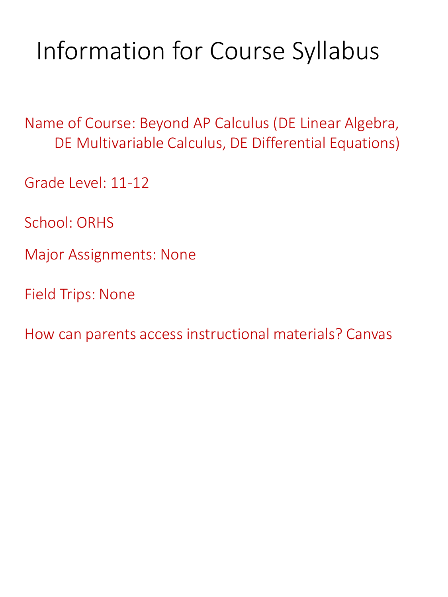## Information for Course Syllabus

Name of Course: Beyond AP Calculus (DE Linear Algebra, DE Multivariable Calculus, DE Differential Equations)

Grade Level: 11-12

School: ORHS

Major Assignments: None

Field Trips: None

How can parents access instructional materials? Canvas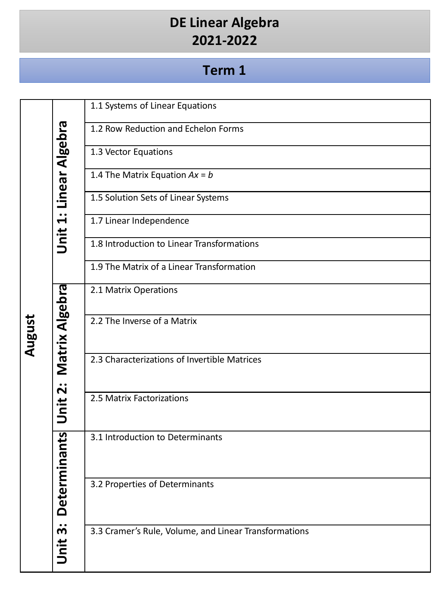### **DE Linear Algebra 2021-2022**

|        |                        | 1.1 Systems of Linear Equations                       |
|--------|------------------------|-------------------------------------------------------|
|        |                        | 1.2 Row Reduction and Echelon Forms                   |
|        | Unit 1: Linear Algebra | 1.3 Vector Equations                                  |
|        |                        | 1.4 The Matrix Equation $Ax = b$                      |
|        |                        | 1.5 Solution Sets of Linear Systems                   |
|        |                        |                                                       |
|        |                        | 1.7 Linear Independence                               |
|        |                        | 1.8 Introduction to Linear Transformations            |
|        |                        | 1.9 The Matrix of a Linear Transformation             |
|        | Matrix Algebra         | 2.1 Matrix Operations                                 |
|        |                        | 2.2 The Inverse of a Matrix                           |
| August |                        |                                                       |
|        |                        | 2.3 Characterizations of Invertible Matrices          |
|        |                        |                                                       |
|        | Unit 2:                | 2.5 Matrix Factorizations                             |
|        |                        |                                                       |
|        | nants                  | 3.1 Introduction to Determinants                      |
|        |                        |                                                       |
|        | Determi                | 3.2 Properties of Determinants                        |
|        |                        |                                                       |
|        |                        |                                                       |
|        | Unit 3:                | 3.3 Cramer's Rule, Volume, and Linear Transformations |
|        |                        |                                                       |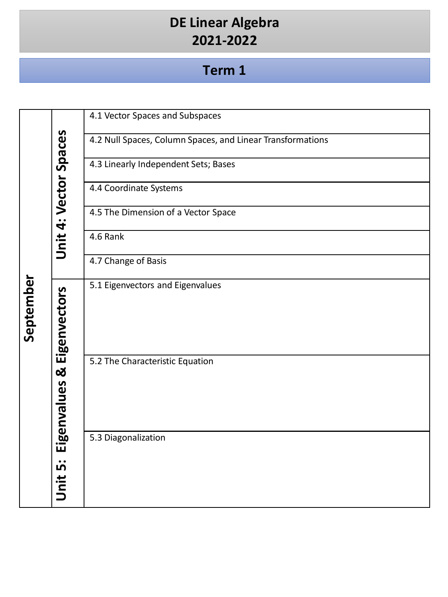# DE Linear Algebra<br>2021-2022

|           |                       | 4.1 Vector Spaces and Subspaces                            |
|-----------|-----------------------|------------------------------------------------------------|
|           |                       | 4.2 Null Spaces, Column Spaces, and Linear Transformations |
|           | Unit 4: Vector Spaces | 4.3 Linearly Independent Sets; Bases                       |
|           |                       | 4.4 Coordinate Systems                                     |
|           |                       | 4.5 The Dimension of a Vector Space                        |
|           |                       | 4.6 Rank                                                   |
|           |                       | 4.7 Change of Basis                                        |
| September | Eigenvectors          | 5.1 Eigenvectors and Eigenvalues                           |
|           | Eigenvalues &         | 5.2 The Characteristic Equation                            |
|           |                       | 5.3 Diagonalization                                        |
|           | Unit 5:               |                                                            |
|           |                       |                                                            |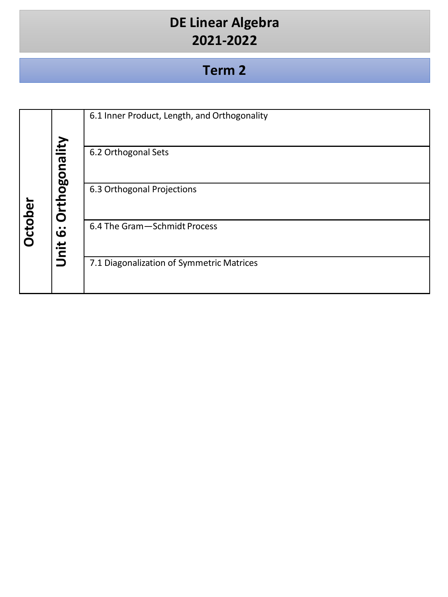# DE Linear Algebra<br>2021-2022

|                |                              | 6.1 Inner Product, Length, and Orthogonality |
|----------------|------------------------------|----------------------------------------------|
|                |                              | 6.2 Orthogonal Sets                          |
|                | Orthogonality                | 6.3 Orthogonal Projections                   |
| <b>October</b> | $\ddot{\bm{\omega}}$<br>Unit | 6.4 The Gram - Schmidt Process               |
|                |                              | 7.1 Diagonalization of Symmetric Matrices    |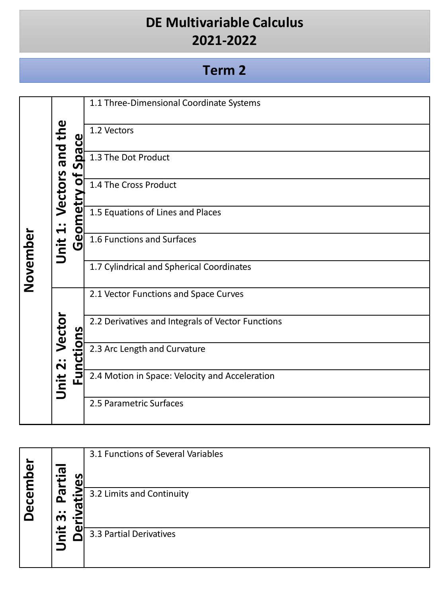#### **DE Multivariable Calculus 2021-2022**

|          |                    | ၛ                  | 1.1 Three-Dimensional Coordinate Systems                                                                                 |
|----------|--------------------|--------------------|--------------------------------------------------------------------------------------------------------------------------|
|          | and the<br>Vectors |                    | 1.2 Vectors                                                                                                              |
|          |                    |                    | $\overline{\text{R}}$ 1.3 The Dot Product                                                                                |
|          |                    | $\frac{1}{\sigma}$ | 1.4 The Cross Product                                                                                                    |
|          | $\ddot{ }$         |                    | 1.4 The Cross Product<br>1.5 Equations of Lines and F<br>1.6 Functions and Surfaces<br>1.5 Equations of Lines and Places |
| November | Unit               |                    |                                                                                                                          |
|          |                    |                    | 1.7 Cylindrical and Spherical Coordinates                                                                                |
|          | Vector<br>Unit 2:  | ctions<br>Eun      | 2.1 Vector Functions and Space Curves                                                                                    |
|          |                    |                    | 2.2 Derivatives and Integrals of Vector Functions                                                                        |
|          |                    |                    | 2.3 Arc Length and Curvature                                                                                             |
|          |                    |                    | 2.4 Motion in Space: Velocity and Acceleration                                                                           |
|          |                    |                    | 2.5 Parametric Surfaces                                                                                                  |

|                                 |        |               | 3.1 Functions of Several Variables |
|---------------------------------|--------|---------------|------------------------------------|
| ഉ<br>$\overline{E}$             | ത      | <b>S</b><br>ധ |                                    |
| ပ္ပြ<br>$\bar{\mathbf{\omega}}$ | ω<br>௳ |               | 3.2 Limits and Continuity          |
|                                 | m      |               |                                    |
|                                 | ≝.     | ω             | 3.3 Partial Derivatives            |
|                                 |        |               |                                    |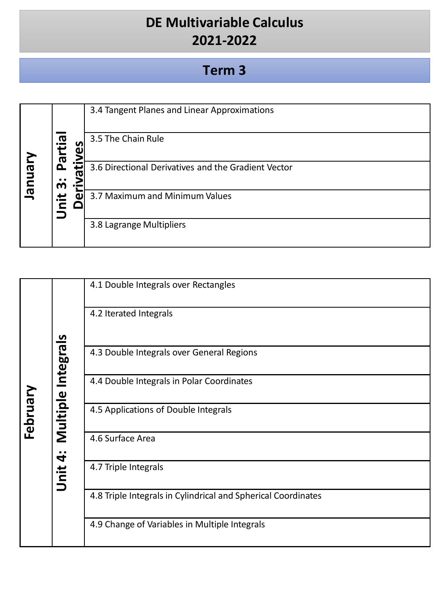#### **DE Multivariable Calculus 2021-2022**

|         |                                  | 3.4 Tangent Planes and Linear Approximations                     |
|---------|----------------------------------|------------------------------------------------------------------|
|         | e.<br>H<br>$\boldsymbol{\sigma}$ | 3.5 The Chain Rule<br>n                                          |
| January | ௳<br>m                           | <u>:5</u><br>3.6 Directional Derivatives and the Gradient Vector |
|         | iid                              | 3.7 Maximum and Minimum Values                                   |
|         |                                  | 3.8 Lagrange Multipliers                                         |

|          |                    | 4.1 Double Integrals over Rectangles                          |
|----------|--------------------|---------------------------------------------------------------|
|          |                    | 4.2 Iterated Integrals                                        |
|          | Multiple Integrals | 4.3 Double Integrals over General Regions                     |
|          |                    | 4.4 Double Integrals in Polar Coordinates                     |
| February |                    | 4.5 Applications of Double Integrals                          |
|          |                    | 4.6 Surface Area                                              |
|          | Unit 4:            | 4.7 Triple Integrals                                          |
|          |                    | 4.8 Triple Integrals in Cylindrical and Spherical Coordinates |
|          |                    | 4.9 Change of Variables in Multiple Integrals                 |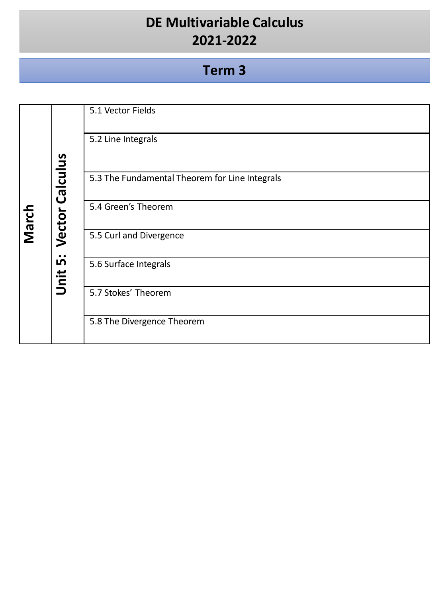### **DE Multivariable Calculus 2021-2022**

|       |                   | 5.1 Vector Fields                              |
|-------|-------------------|------------------------------------------------|
|       |                   | 5.2 Line Integrals                             |
|       | Vector Calculus   | 5.3 The Fundamental Theorem for Line Integrals |
| March |                   | 5.4 Green's Theorem                            |
|       |                   | 5.5 Curl and Divergence                        |
|       | <u>ம்</u><br>Unit | 5.6 Surface Integrals                          |
|       |                   | 5.7 Stokes' Theorem                            |
|       |                   | 5.8 The Divergence Theorem                     |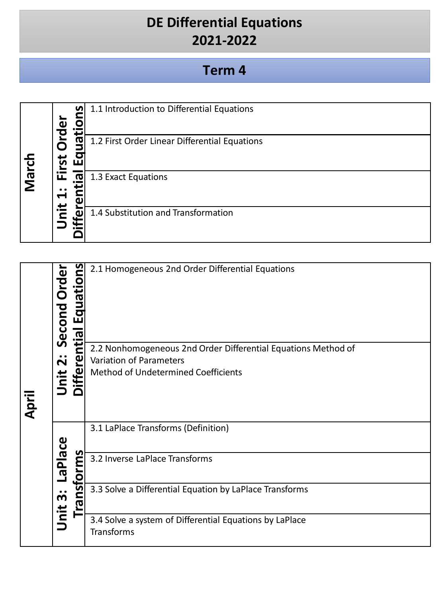#### **DE Differential Equations 2021-2022**

| March | $\boldsymbol{\omega}$ | ທ၊                    | 1.1 Introduction to Differential Equations    |
|-------|-----------------------|-----------------------|-----------------------------------------------|
|       | ΣĹ<br><u>is</u>       | ത്<br>ш               | 1.2 First Order Linear Differential Equations |
|       | ய<br>↽                | $\boldsymbol{\sigma}$ | 1.3 Exact Equations                           |
|       | ir                    | iffe                  | 1.4 Substitution and Transformation           |

|       | Second Order        | <b>S</b><br>$\mathbf{C}$<br><u>I Equatio</u><br>ntial | 2.1 Homogeneous 2nd Order Differential Equations                                         |
|-------|---------------------|-------------------------------------------------------|------------------------------------------------------------------------------------------|
|       | $\ddot{\mathbf{v}}$ | ုပ္                                                   | 2.2 Nonhomogeneous 2nd Order Differential Equations Method of<br>Variation of Parameters |
|       |                     |                                                       | Method of Undetermined Coefficients                                                      |
| April | jnit<br>5           | iffe                                                  |                                                                                          |
|       |                     |                                                       | 3.1 LaPlace Transforms (Definition)                                                      |
|       | <b>Palace</b>       | <u>cms</u><br><u>ō</u>                                | 3.2 Inverse LaPlace Transforms                                                           |
|       | $\ddot{\bm{m}}$     | <u>ທ</u><br>ā                                         | 3.3 Solve a Differential Equation by LaPlace Transforms                                  |
|       | Unit                |                                                       | 3.4 Solve a system of Differential Equations by LaPlace<br>Transforms                    |